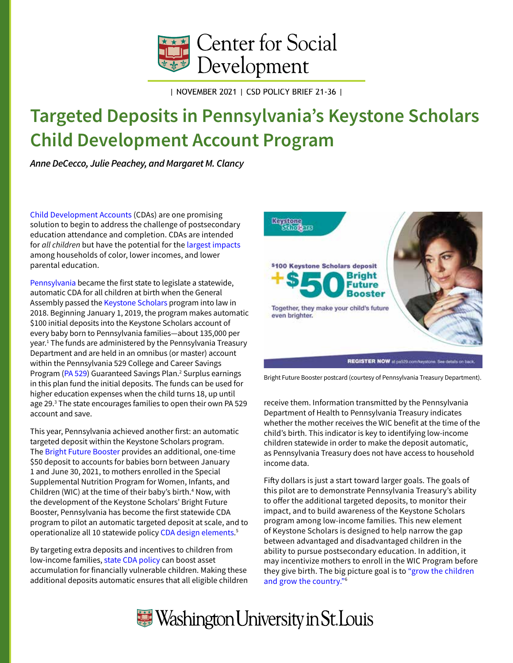

| NOVEMBER 2021 | CSD POLICY BRIEF 21-36 |

# <span id="page-0-0"></span>**Targeted Deposits in Pennsylvania's Keystone Scholars Child Development Account Program**

*Anne DeCecco, Julie Peachey, and Margaret M. Clancy*

[Child Development Accounts](https://doi.org/10.7936/axxv-4t52) (CDAs) are one promising solution to begin to address the challenge of postsecondary education attendance and completion. CDAs are intended for *all children* but have the potential for the [largest impacts](https://doi.org/10.7936/fnjg-n539) among households of color, lower incomes, and lower parental education.

[Pennsylvania](https://csd.wustl.edu/pennsylvania-adopts-universal-child-development-account-policy/) became the first state to legislate a statewide, automatic CDA for all children at birth when the General Assembly passed the [Keystone Scholars](http://www.pa529.com/keystone) program into law in 2018. Beginning January 1, 2019, the program makes automatic \$100 initial deposits into the Keystone Scholars account of every baby born to Pennsylvania families—about 135,000 per year.[1](#page-3-0) The funds are administered by the Pennsylvania Treasury Department and are held in an omnibus (or master) account within the Pennsylvania 529 College and Career Savings Program ([PA 529\)](http://www.pa529.com/) Guaranteed Savings Plan.<sup>2</sup> Surplus earnings in this plan fund the initial deposits. The funds can be used for higher education expenses when the child turns 18, up until age 29[.3](#page-3-0) The state encourages families to open their own PA 529 account and save.

This year, Pennsylvania achieved another first: an automatic targeted deposit within the Keystone Scholars program. The [Bright Future Booster](http://www.pa529.com/keystone/bfb) provides an additional, one-time \$50 deposit to accounts for babies born between January 1 and June 30, 2021, to mothers enrolled in the Special Supplemental Nutrition Program for Women, Infants, and Children (WIC) at the time of their baby's birth.<sup>[4](#page-3-0)</sup> Now, with the development of the Keystone Scholars' Bright Future Booster, Pennsylvania has become the first statewide CDA program to pilot an automatic targeted deposit at scale, and to operationalize all 10 statewide policy [CDA design elements](https://doi.org/10.7936/1rvq-dy43). [5](#page-4-0)

By targeting extra deposits and incentives to children from low-income families, [state CDA policy](https://doi.org/10.7936/cptg-2n77) can boost asset accumulation for financially vulnerable children. Making these additional deposits automatic ensures that all eligible children



Bright Future Booster postcard (courtesy of Pennsylvania Treasury Department).

receive them. Information transmitted by the Pennsylvania Department of Health to Pennsylvania Treasury indicates whether the mother receives the WIC benefit at the time of the child's birth. This indicator is key to identifying low-income children statewide in order to make the deposit automatic, as Pennsylvania Treasury does not have access to household income data.

Fifty dollars is just a start toward larger goals. The goals of this pilot are to demonstrate Pennsylvania Treasury's ability to offer the additional targeted deposits, to monitor their impact, and to build awareness of the Keystone Scholars program among low-income families. This new element of Keystone Scholars is designed to help narrow the gap between advantaged and disadvantaged children in the ability to pursue postsecondary education. In addition, it may incentivize mothers to enroll in the WIC Program before they give birth. The big picture goal is to ["grow the children](https://futureofwealth.org/wp-content/uploads/2021/09/Sec-5.pdf#page=5)  [and grow the country."](https://futureofwealth.org/wp-content/uploads/2021/09/Sec-5.pdf#page=5)[6](#page-4-0)

# Washington University in St. Louis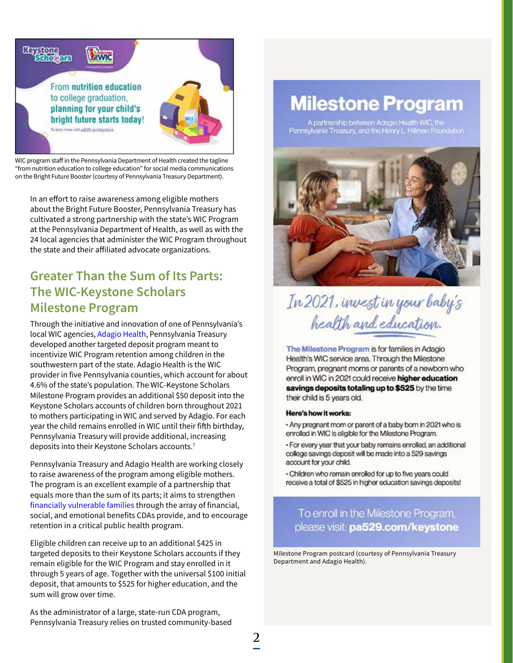<span id="page-1-0"></span>

WIC program staff in the Pennsylvania Department of Health created the tagline "from nutrition education to college education" for social media communications on the Bright Future Booster (courtesy of Pennsylvania Treasury Department).

In an effort to raise awareness among eligible mothers about the Bright Future Booster, Pennsylvania Treasury has cultivated a strong partnership with the state's WIC Program at the Pennsylvania Department of Health, as well as with the 24 local agencies that administer the WIC Program throughout the state and their affiliated advocate organizations.

## **Greater Than the Sum of Its Parts: The WIC-Keystone Scholars Milestone Program**

Through the initiative and innovation of one of Pennsylvania's local WIC agencies, [Adagio Health](https://www.adagiohealth.org/), Pennsylvania Treasury developed another targeted deposit program meant to incentivize WIC Program retention among children in the southwestern part of the state. Adagio Health is the WIC provider in five Pennsylvania counties, which account for about 4.6% of the state's population. The WIC-Keystone Scholars Milestone Program provides an additional \$50 deposit into the Keystone Scholars accounts of children born throughout 2021 to mothers participating in WIC and served by Adagio. For each year the child remains enrolled in WIC until their fifth birthday, Pennsylvania Treasury will provide additional, increasing deposits into their Keystone Scholars accounts.<sup>7</sup>

Pennsylvania Treasury and Adagio Health are working closely to raise awareness of the program among eligible mothers. The program is an excellent example of a partnership that equals more than the sum of its parts; it aims to strengthen [financially vulnerable families](https://doi.org/10.7936/akd8-d690) through the array of financial, social, and emotional benefits CDAs provide, and to encourage retention in a critical public health program.

Eligible children can receive up to an additional \$425 in targeted deposits to their Keystone Scholars accounts if they remain eligible for the WIC Program and stay enrolled in it through 5 years of age. Together with the universal \$100 initial deposit, that amounts to \$525 for higher education, and the sum will grow over time.

As the administrator of a large, state-run CDA program, Pennsylvania Treasury relies on trusted community-based

# **Milestone Program**

A partnership between Adagio Health WIC, the<br>Pennsylvania Treasury, and the Henry L. Hillman Foundation



# In 2021, invest in your baby's health and education.

The Milestone Program is for families in Adagio Health's WIC service area. Through the Milestone Program, pregnant moms or parents of a newborn who enroll in WIC in 2021 could receive higher education savings deposits totaling up to \$525 by the time their child is 5 years old.

#### Here's how it works:

- Any pregnant mom or parent of a baby born in 2021 who is enrolled in WIC is eligible for the Milestone Program.
- · For every year that your baby remains enrolled, an additional college savings deposit will be made into a 529 savings account for your child.
- · Children who remain enrolled for up to five years could receive a total of \$525 in higher education savings deposits!

To enroll in the Milestone Program, please visit: pa529.com/keystone

Milestone Program postcard (courtesy of Pennsylvania Treasury Department and Adagio Health).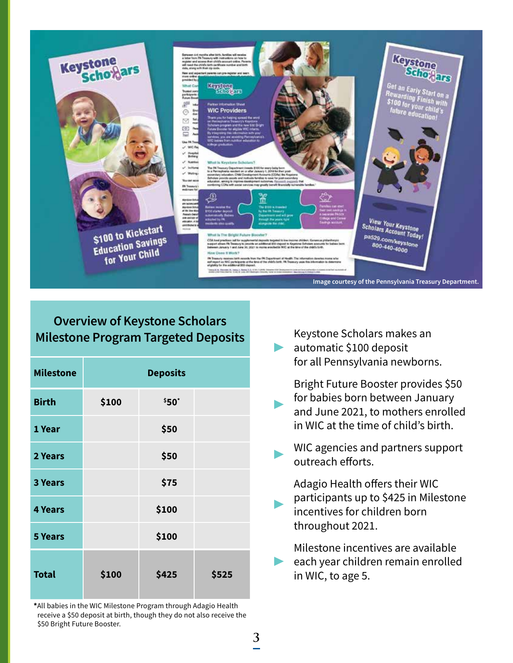

### **Overview of Keystone Scholars Milestone Program Targeted Deposits**

| <b>Milestone</b> |       | <b>Deposits</b> |       |
|------------------|-------|-----------------|-------|
| <b>Birth</b>     | \$100 | \$50"           |       |
| 1 Year           |       | \$50            |       |
| 2 Years          |       | \$50            |       |
| <b>3 Years</b>   |       | \$75            |       |
| <b>4 Years</b>   |       | \$100           |       |
| <b>5 Years</b>   |       | \$100           |       |
| <b>Total</b>     | \$100 | \$425           | \$525 |

**\***All babies in the WIC Milestone Program through Adagio Health receive a \$50 deposit at birth, though they do not also receive the \$50 Bright Future Booster.

▶ Keystone Scholars makes an automatic \$100 deposit for all Pennsylvania newborns.

▶ Bright Future Booster provides \$50 for babies born between January and June 2021, to mothers enrolled in WIC at the time of child's birth.

WIC agencies and partners support outreach efforts.

Adagio Health offers their WIC participants up to \$425 in Milestone incentives for children born throughout 2021.

▶ ▶ Milestone incentives are available ▶ each year children remain enrolled in WIC, to age 5.

▶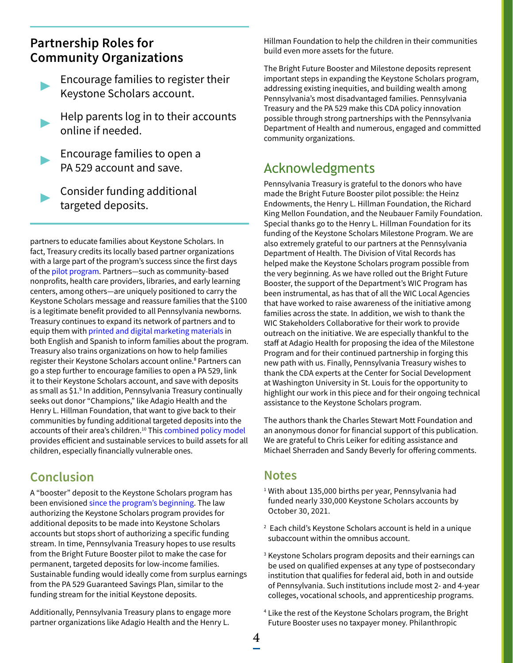### <span id="page-3-0"></span>**Partnership Roles for Community Organizations**

- ▶ Encourage families to register their Keystone Scholars account.
- ▶ Help parents log in to their accounts online if needed.
	- ▶ Encourage families to open a PA 529 account and save.
		- Consider funding additional targeted deposits.

partners to educate families about Keystone Scholars. In fact, Treasury credits its locally based partner organizations with a large part of the program's success since the first days of the [pilot program](https://www.pa529.com/keystone/pdf/Pilot-Results-Report.pdf). Partners—such as community-based nonprofits, health care providers, libraries, and early learning centers, among others—are uniquely positioned to carry the Keystone Scholars message and reassure families that the \$100 is a legitimate benefit provided to all Pennsylvania newborns. Treasury continues to expand its network of partners and to equip them with [printed and digital marketing materials](https://www.pa529.com/keystone/resources/) in both English and Spanish to inform families about the program. Treasury also trains organizations on how to help families register their Keystone Scholars account online.<sup>8</sup> Partners can go a step further to encourage families to open a PA 529, link it to their Keystone Scholars account, and save with deposits as small as \$1.<sup>[9](#page-4-0)</sup> In addition, Pennsylvania Treasury continually seeks out donor "Champions," like Adagio Health and the Henry L. Hillman Foundation, that want to give back to their communities by funding additional targeted deposits into the accounts of their area's children.<sup>10</sup> This [combined policy model](https://doi.org/10.7936/q310-7h95) provides efficient and sustainable services to build assets for all children, especially financially vulnerable ones.

### **Conclusion**

A "booster" deposit to the Keystone Scholars program has been envisioned [since the program's beginning](https://doi.org/10.7936/14tc-2b43). The law authorizing the Keystone Scholars program provides for additional deposits to be made into Keystone Scholars accounts but stops short of authorizing a specific funding stream. In time, Pennsylvania Treasury hopes to use results from the Bright Future Booster pilot to make the case for permanent, targeted deposits for low-income families. Sustainable funding would ideally come from surplus earnings from the PA 529 Guaranteed Savings Plan, similar to the funding stream for the initial Keystone deposits.

Additionally, Pennsylvania Treasury plans to engage more partner organizations like Adagio Health and the Henry L.

Hillman Foundation to help the children in their communities build even more assets for the future.

The Bright Future Booster and Milestone deposits represent important steps in expanding the Keystone Scholars program, addressing existing inequities, and building wealth among Pennsylvania's most disadvantaged families. Pennsylvania Treasury and the PA 529 make this CDA policy innovation possible through strong partnerships with the Pennsylvania Department of Health and numerous, engaged and committed community organizations.

## Acknowledgments

Pennsylvania Treasury is grateful to the donors who have made the Bright Future Booster pilot possible: the Heinz Endowments, the Henry L. Hillman Foundation, the Richard King Mellon Foundation, and the Neubauer Family Foundation. Special thanks go to the Henry L. Hillman Foundation for its funding of the Keystone Scholars Milestone Program. We are also extremely grateful to our partners at the Pennsylvania Department of Health. The Division of Vital Records has helped make the Keystone Scholars program possible from the very beginning. As we have rolled out the Bright Future Booster, the support of the Department's WIC Program has been instrumental, as has that of all the WIC Local Agencies that have worked to raise awareness of the initiative among families across the state. In addition, we wish to thank the WIC Stakeholders Collaborative for their work to provide outreach on the initiative. We are especially thankful to the staff at Adagio Health for proposing the idea of the Milestone Program and for their continued partnership in forging this new path with us. Finally, Pennsylvania Treasury wishes to thank the CDA experts at the Center for Social Development at Washington University in St. Louis for the opportunity to highlight our work in this piece and for their ongoing technical assistance to the Keystone Scholars program.

The authors thank the Charles Stewart Mott Foundation and an anonymous donor for financial support of this publication. We are grateful to Chris Leiker for editing assistance and Michael Sherraden and Sandy Beverly for offering comments.

#### **Notes**

- <sup>[1](#page-0-0)</sup> With about 135,000 births per year, Pennsylvania had funded nearly 330,000 Keystone Scholars accounts by October 30, 2021.
- [2](#page-0-0) Each child's Keystone Scholars account is held in a unique subaccount within the omnibus account.
- <sup>3</sup> Keystone Scholars program deposits and their earnings can be used on qualified expenses at any type of postsecondary institution that qualifies for federal aid, both in and outside of Pennsylvania. Such institutions include most 2- and 4-year colleges, vocational schools, and apprenticeship programs.
- [4](#page-0-0) Like the rest of the Keystone Scholars program, the Bright Future Booster uses no taxpayer money. Philanthropic